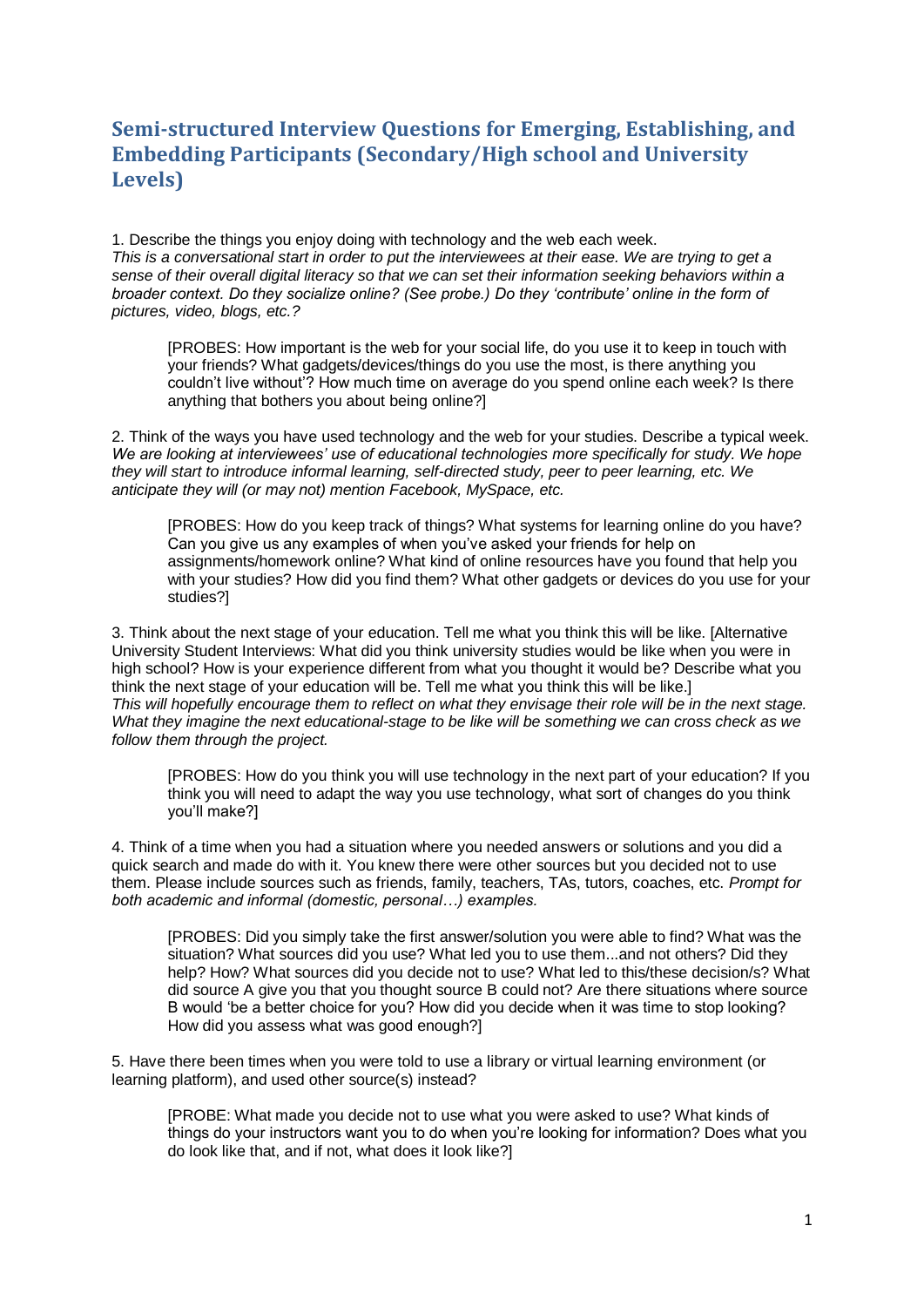## **Semi-structured Interview Questions for Emerging, Establishing, and Embedding Participants (Secondary/High school and University Levels)**

1. Describe the things you enjoy doing with technology and the web each week. *This is a conversational start in order to put the interviewees at their ease. We are trying to get a sense of their overall digital literacy so that we can set their information seeking behaviors within a broader context. Do they socialize online? (See probe.) Do they 'contribute' online in the form of pictures, video, blogs, etc.?*

[PROBES: How important is the web for your social life, do you use it to keep in touch with your friends? What gadgets/devices/things do you use the most, is there anything you couldn't live without'? How much time on average do you spend online each week? Is there anything that bothers you about being online?]

2. Think of the ways you have used technology and the web for your studies. Describe a typical week. *We are looking at interviewees' use of educational technologies more specifically for study. We hope they will start to introduce informal learning, self-directed study, peer to peer learning, etc. We anticipate they will (or may not) mention Facebook, MySpace, etc.*

[PROBES: How do you keep track of things? What systems for learning online do you have? Can you give us any examples of when you've asked your friends for help on assignments/homework online? What kind of online resources have you found that help you with your studies? How did you find them? What other gadgets or devices do you use for your studies?]

3. Think about the next stage of your education. Tell me what you think this will be like. [Alternative University Student Interviews: What did you think university studies would be like when you were in high school? How is your experience different from what you thought it would be? Describe what you think the next stage of your education will be. Tell me what you think this will be like.] *This will hopefully encourage them to reflect on what they envisage their role will be in the next stage. What they imagine the next educational-stage to be like will be something we can cross check as we follow them through the project.*

[PROBES: How do you think you will use technology in the next part of your education? If you think you will need to adapt the way you use technology, what sort of changes do you think you'll make?]

4. Think of a time when you had a situation where you needed answers or solutions and you did a quick search and made do with it. You knew there were other sources but you decided not to use them. Please include sources such as friends, family, teachers, TAs, tutors, coaches, etc. *Prompt for both academic and informal (domestic, personal…) examples.* 

[PROBES: Did you simply take the first answer/solution you were able to find? What was the situation? What sources did you use? What led you to use them...and not others? Did they help? How? What sources did you decide not to use? What led to this/these decision/s? What did source A give you that you thought source B could not? Are there situations where source B would 'be a better choice for you? How did you decide when it was time to stop looking? How did you assess what was good enough?]

5. Have there been times when you were told to use a library or virtual learning environment (or learning platform), and used other source(s) instead?

[PROBE: What made you decide not to use what you were asked to use? What kinds of things do your instructors want you to do when you're looking for information? Does what you do look like that, and if not, what does it look like?]